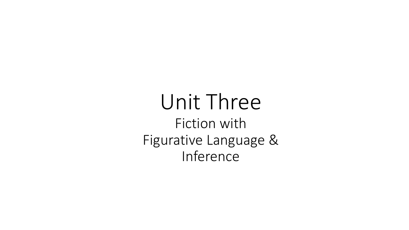## Unit Three Fiction with Figurative Language & Inference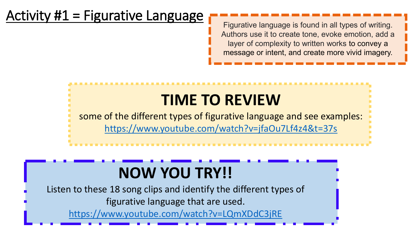#### Activity  $#1$  = Figurative Language

Figurative language is found in all types of writing. Authors use it to create tone, evoke emotion, add a layer of complexity to written works to convey a message or intent, and create more vivid imagery.

# **TIME TO REVIEW**

some of the different types of figurative language and see examples: <https://www.youtube.com/watch?v=jfaOu7Lf4z4&t=37s>

## **NOW YOU TRY!!**

Listen to these 18 song clips and identify the different types of figurative language that are used.

<https://www.youtube.com/watch?v=LQmXDdC3jRE>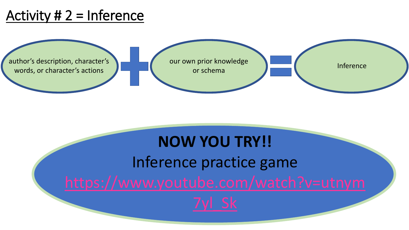#### Activity  $# 2 =$  Inference



# **NOW YOU TRY!!** Inference practice game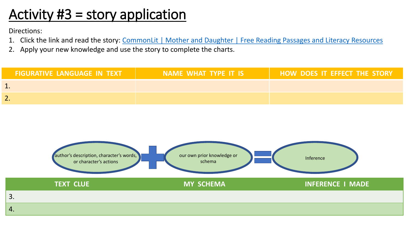#### Activity #3 = story application

Directions:

- 1. Click the link and read the story: CommonLit [| Mother and Daughter | Free Reading Passages and Literacy Resources](https://www.commonlit.org/en/texts/mother-and-daughter)
- 2. Apply your new knowledge and use the story to complete the charts.

| <b>FIGURATIVE LANGUAGE IN TEXT</b> | NAME WHAT TYPE IT IS | HOW DOES IT EFFECT THE STORY |
|------------------------------------|----------------------|------------------------------|
|                                    |                      |                              |
|                                    |                      |                              |